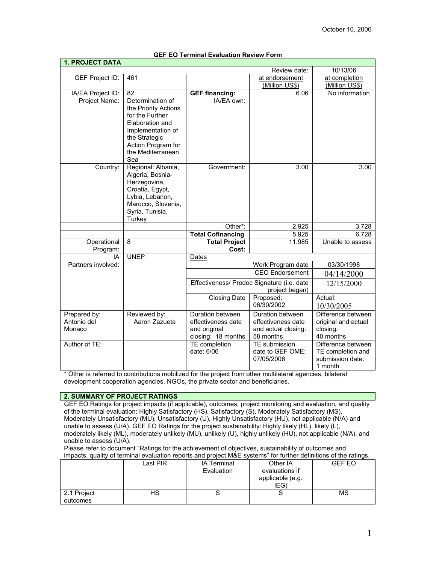| <b>1. PROJECT DATA</b>                |                                                                                                                                                                        |                                                                              |                                                                            |                                                                        |  |
|---------------------------------------|------------------------------------------------------------------------------------------------------------------------------------------------------------------------|------------------------------------------------------------------------------|----------------------------------------------------------------------------|------------------------------------------------------------------------|--|
|                                       |                                                                                                                                                                        |                                                                              | Review date:                                                               | 10/13/06                                                               |  |
| GEF Project ID:                       | 461                                                                                                                                                                    | at endorsement                                                               |                                                                            | at completion<br>(Million US\$)                                        |  |
|                                       |                                                                                                                                                                        | (Million US\$)                                                               |                                                                            |                                                                        |  |
| IA/EA Project ID:                     | 82                                                                                                                                                                     | <b>GEF financing:</b>                                                        | 6.06                                                                       | No information                                                         |  |
| Project Name:                         | Determination of<br>the Priority Actions<br>for the Further<br>Elaboration and<br>Implementation of<br>the Strategic<br>Action Program for<br>the Mediterranean<br>Sea | IA/EA own:                                                                   |                                                                            |                                                                        |  |
| Country:                              | Regional: Albania,<br>Algeria, Bosnia-<br>Herzegovina,<br>Croatia, Egypt,<br>Lybia, Lebanon,<br>Marocco, Slovenia,<br>Syria, Tunisia,<br>Turkey                        | Government:                                                                  | 3.00                                                                       | 3.00                                                                   |  |
|                                       |                                                                                                                                                                        | Other*:                                                                      | 2.925                                                                      | 3.728                                                                  |  |
|                                       |                                                                                                                                                                        | <b>Total Cofinancing</b>                                                     | 5.925                                                                      | 6.728                                                                  |  |
| Operational                           | 8                                                                                                                                                                      | <b>Total Project</b>                                                         | 11.985                                                                     | Unable to assess                                                       |  |
| Program:                              |                                                                                                                                                                        | Cost:                                                                        |                                                                            |                                                                        |  |
| ΙA                                    | <b>UNEP</b>                                                                                                                                                            | Dates                                                                        |                                                                            |                                                                        |  |
| Partners involved:                    |                                                                                                                                                                        |                                                                              | 03/30/1998                                                                 |                                                                        |  |
|                                       |                                                                                                                                                                        |                                                                              | 04/14/2000                                                                 |                                                                        |  |
|                                       |                                                                                                                                                                        | Effectiveness/ Prodoc Signature (i.e. date<br>project began)                 |                                                                            | 12/15/2000                                                             |  |
|                                       |                                                                                                                                                                        | <b>Closing Date</b>                                                          | Proposed:<br>06/30/2002                                                    | Actual:<br>10/30/2005                                                  |  |
| Prepared by:<br>Antonio del<br>Monaco | Reviewed by:<br>Aaron Zazueta                                                                                                                                          | Duration between<br>effectiveness date<br>and original<br>closing: 18 months | Duration between<br>effectiveness date<br>and actual closing:<br>58 months | Difference between<br>original and actual<br>closing:<br>40 months     |  |
| Author of TE:                         |                                                                                                                                                                        | TE completion<br>date: 6/06                                                  | TE submission<br>date to GEF OME:<br>07/05/2006                            | Difference between<br>TE completion and<br>submission date:<br>1 month |  |

# **GEF EO Terminal Evaluation Review Form**

\* Other is referred to contributions mobilized for the project from other multilateral agencies, bilateral development cooperation agencies, NGOs, the private sector and beneficiaries.

# **2. SUMMARY OF PROJECT RATINGS**

GEF EO Ratings for project impacts (if applicable), outcomes, project monitoring and evaluation, and quality of the terminal evaluation: Highly Satisfactory (HS), Satisfactory (S), Moderately Satisfactory (MS), Moderately Unsatisfactory (MU), Unsatisfactory (U), Highly Unsatisfactory (HU), not applicable (N/A) and unable to assess (U/A). GEF EO Ratings for the project sustainability: Highly likely (HL), likely (L), moderately likely (ML), moderately unlikely (MU), unlikely (U), highly unlikely (HU), not applicable (N/A), and unable to assess (U/A).

Please refer to document "Ratings for the achievement of objectives, sustainability of outcomes and impacts, quality of terminal evaluation reports and project M&E systems" for further definitions of the ratings.

| $\frac{1}{2}$ . The contribution of the contribution to position and project model of our formation domination of the ruth idea. |          |                    |                  |        |  |
|----------------------------------------------------------------------------------------------------------------------------------|----------|--------------------|------------------|--------|--|
|                                                                                                                                  | Last PIR | <b>IA Terminal</b> | Other IA         | GEF EO |  |
|                                                                                                                                  |          | Evaluation         | evaluations if   |        |  |
|                                                                                                                                  |          |                    | applicable (e.g. |        |  |
|                                                                                                                                  |          |                    | IEG)             |        |  |
| 2.1 Project                                                                                                                      | НS       |                    |                  | ΜS     |  |
| outcomes                                                                                                                         |          |                    |                  |        |  |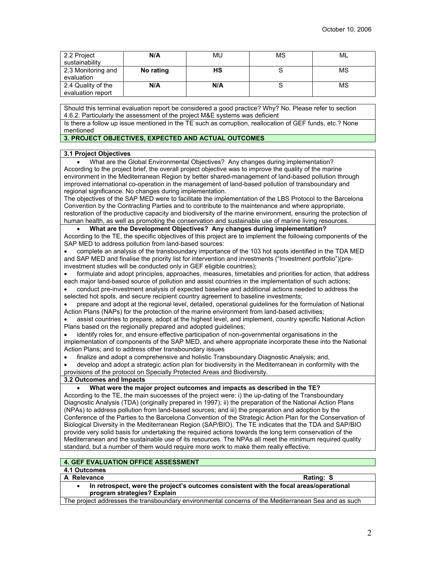| 2.2 Project<br>sustainability           | N/A       | MU  | ΜS | ML |
|-----------------------------------------|-----------|-----|----|----|
| 2.3 Monitoring and<br>evaluation        | No rating | нs  |    | МS |
| 2.4 Quality of the<br>evaluation report | N/A       | N/A |    | MS |

Should this terminal evaluation report be considered a good practice? Why? No. Please refer to section 4.6.2. Particularly the assessment of the project M&E systems was deficient

Is there a follow up issue mentioned in the TE such as corruption, reallocation of GEF funds, etc.? None mentioned

# **3. PROJECT OBJECTIVES, EXPECTED AND ACTUAL OUTCOMES**

# **3.1 Project Objectives**

• What are the Global Environmental Objectives? Any changes during implementation? According to the project brief, the overall project objective was to improve the quality of the marine environment in the Mediterranean Region by better shared-management of land-based pollution through improved international co-operation in the management of land-based pollution of transboundary and regional significance. No changes during implementation. The objectives of the SAP MED were to facilitate the implementation of the LBS Protocol to the Barcelona Convention by the Contracting Parties and to contribute to the maintenance and where appropriate, restoration of the productive capacity and biodiversity of the marine environment, ensuring the protection of human health, as well as promoting the conservation and sustainable use of marine living resources. • **What are the Development Objectives? Any changes during implementation?** According to the TE, the specific objectives of this project are to implement the following components of the SAP MED to address pollution from land-based sources: • complete an analysis of the transboundary importance of the 103 hot spots identified in the TDA MED and SAP MED and finalise the priority list for intervention and investments ("Investment portfolio")(preinvestment studies will be conducted only in GEF eligible countries); • formulate and adopt principles, approaches, measures, timetables and priorities for action, that address each major land-based source of pollution and assist countries in the implementation of such actions; • conduct pre-investment analysis of expected baseline and additional actions needed to address the selected hot spots, and secure recipient country agreement to baseline investments; • prepare and adopt at the regional level, detailed, operational guidelines for the formulation of National Action Plans (NAPs) for the protection of the marine environment from land-based activities; • assist countries to prepare, adopt at the highest level, and implement, country specific National Action Plans based on the regionally prepared and adopted guidelines; identify roles for, and ensure effective participation of non-governmental organisations in the implementation of components of the SAP MED, and where appropriate incorporate these into the National Action Plans; and to address other transboundary issues • finalize and adopt a comprehensive and holistic Transboundary Diagnostic Analysis; and, • develop and adopt a strategic action plan for biodiversity in the Mediterranean in conformity with the provisions of the protocol on Specially Protected Areas and Biodiversity. **3.2 Outcomes and Impacts** • **What were the major project outcomes and impacts as described in the TE?** According to the TE, the main successes of the project were: i) the up-dating of the Transboundary

Diagnostic Analysis (TDA) (originally prepared in 1997); ii) the preparation of the National Action Plans (NPAs) to address pollution from land-based sources; and iii) the preparation and adoption by the Conference of the Parties to the Barcelona Convention of the Strategic Action Plan for the Conservation of Biological Diversity in the Mediterranean Region (SAP/BIO). The TE indicates that the TDA and SAP/BIO provide very solid basis for undertaking the required actions towards the long term conservation of the Mediterranean and the sustainable use of its resources. The NPAs all meet the minimum required quality standard, but a number of them would require more work to make them really effective.

# **4. GEF EVALUATION OFFICE ASSESSMENT**

# **4.1 Outcomes**

### A Relevance **Rating: S** Rating: S

• **In retrospect, were the project's outcomes consistent with the focal areas/operational program strategies? Explain**

The project addresses the transboundary environmental concerns of the Mediterranean Sea and as such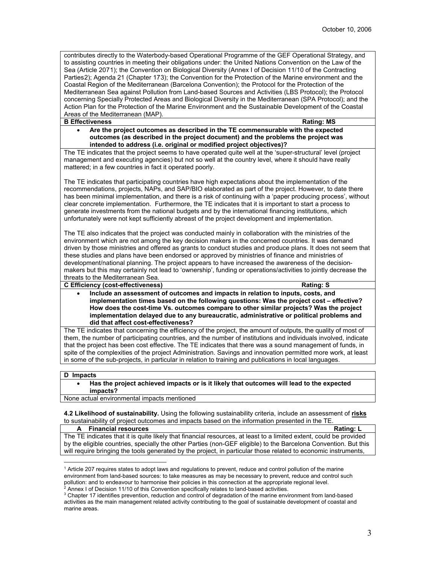contributes directly to the Waterbody-based Operational Programme of the GEF Operational Strategy, and to assisting countries in meeting their obligations under: the United Nations Convention on the Law of the Sea (Article 207[1\)](#page-2-0); the Convention on Biological Diversity (Annex I of Decision 11/10 of the Contracting Parties[2\)](#page-2-1); Agenda 21 (Chapter 17[3\)](#page-2-2); the Convention for the Protection of the Marine environment and the Coastal Region of the Mediterranean (Barcelona Convention); the Protocol for the Protection of the Mediterranean Sea against Pollution from Land-based Sources and Activities (LBS Protocol); the Protocol concerning Specially Protected Areas and Biological Diversity in the Mediterranean (SPA Protocol); and the Action Plan for the Protection of the Marine Environment and the Sustainable Development of the Coastal Areas of the Mediterranean (MAP).

# **B Effectiveness Rating:** MS

• **Are the project outcomes as described in the TE commensurable with the expected outcomes (as described in the project document) and the problems the project was intended to address (i.e. original or modified project objectives)?** 

The TE indicates that the project seems to have operated quite well at the 'super-structural' level (project management and executing agencies) but not so well at the country level, where it should have really mattered; in a few countries in fact it operated poorly.

The TE indicates that participating countries have high expectations about the implementation of the recommendations, projects, NAPs, and SAP/BIO elaborated as part of the project. However, to date there has been minimal implementation, and there is a risk of continuing with a 'paper producing process', without clear concrete implementation. Furthermore, the TE indicates that it is important to start a process to generate investments from the national budgets and by the international financing institutions, which unfortunately were not kept sufficiently abreast of the project development and implementation.

The TE also indicates that the project was conducted mainly in collaboration with the ministries of the environment which are not among the key decision makers in the concerned countries. It was demand driven by those ministries and offered as grants to conduct studies and produce plans. It does not seem that these studies and plans have been endorsed or approved by ministries of finance and ministries of development/national planning. The project appears to have increased the awareness of the decisionmakers but this may certainly not lead to 'ownership', funding or operations/activities to jointly decrease the threats to the Mediterranean Sea.

**C Efficiency (cost-effectiveness) Rating: S**

• **Include an assessment of outcomes and impacts in relation to inputs, costs, and implementation times based on the following questions: Was the project cost – effective? How does the cost-time Vs. outcomes compare to other similar projects? Was the project implementation delayed due to any bureaucratic, administrative or political problems and did that affect cost-effectiveness?**

The TE indicates that concerning the efficiency of the project, the amount of outputs, the quality of most of them, the number of participating countries, and the number of institutions and individuals involved, indicate that the project has been cost effective. The TE indicates that there was a sound management of funds, in spite of the complexities of the project Administration. Savings and innovation permitted more work, at least in some of the sub-projects, in particular in relation to training and publications in local languages.

# **D Impacts**

• **Has the project achieved impacts or is it likely that outcomes will lead to the expected impacts?**

None actual environmental impacts mentioned

**4.2 Likelihood of sustainability.** Using the following sustainability criteria, include an assessment of **risks** to sustainability of project outcomes and impacts based on the information presented in the TE.

**A Financial resources Rating: L** The TE indicates that it is quite likely that financial resources, at least to a limited extent, could be provided by the eligible countries, specially the other Parties (non-GEF eligible) to the Barcelona Convention. But this will require bringing the tools generated by the project, in particular those related to economic instruments,

 $^2$  Annex I of Decision 11/10 of this Convention specifically relates to land-based activities.

<span id="page-2-0"></span> $\overline{a}$ 1 Article 207 requires states to adopt laws and regulations to prevent, reduce and control pollution of the marine environment from land-based sources: to take measures as may be necessary to prevent, reduce and control such pollution: and to endeavour to harmonise their policies in this connection at the appropriate regional level.

<span id="page-2-2"></span><span id="page-2-1"></span> $\rm ^3$  Chapter 17 identifies prevention, reduction and control of degradation of the marine environment from land-based activities as the main management related activity contributing to the goal of sustainable development of coastal and marine areas.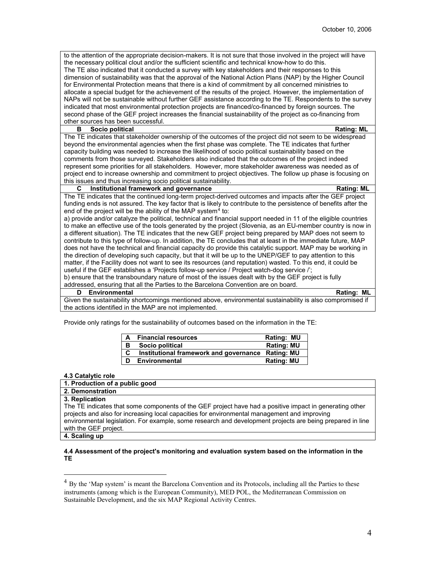to the attention of the appropriate decision-makers. It is not sure that those involved in the project will have the necessary political clout and/or the sufficient scientific and technical know-how to do this. The TE also indicated that it conducted a survey with key stakeholders and their responses to this dimension of sustainability was that the approval of the National Action Plans (NAP) by the Higher Council for Environmental Protection means that there is a kind of commitment by all concerned ministries to allocate a special budget for the achievement of the results of the project. However, the implementation of NAPs will not be sustainable without further GEF assistance according to the TE. Respondents to the survey indicated that most environmental protection projects are financed/co-financed by foreign sources. The second phase of the GEF project increases the financial sustainability of the project as co-financing from other sources has been successful.

# **B Socio political Rating: ML**

The TE indicates that stakeholder ownership of the outcomes of the project did not seem to be widespread beyond the environmental agencies when the first phase was complete. The TE indicates that further capacity building was needed to increase the likelihood of socio political sustainability based on the comments from those surveyed. Stakeholders also indicated that the outcomes of the project indeed represent some priorities for all stakeholders. However, more stakeholder awareness was needed as of project end to increase ownership and commitment to project objectives. The follow up phase is focusing on this issues and thus increasing socio political sustainability.

# **C Institutional framework and governance Rating: ML**

The TE indicates that the continued long-term project-derived outcomes and impacts after the GEF project funding ends is not assured. The key factor that is likely to contribute to the persistence of benefits after the end of the project will be the ability of the MAP system $4$  to:

a) provide and/or catalyze the political, technical and financial support needed in 11 of the eligible countries to make an effective use of the tools generated by the project (Slovenia, as an EU-member country is now in a different situation). The TE indicates that the new GEF project being prepared by MAP does not seem to contribute to this type of follow-up. In addition, the TE concludes that at least in the immediate future, MAP does not have the technical and financial capacity do provide this catalytic support. MAP may be working in the direction of developing such capacity, but that it will be up to the UNEP/GEF to pay attention to this matter, if the Facility does not want to see its resources (and reputation) wasted. To this end, it could be useful if the GEF establishes a 'Projects follow-up service / Project watch-dog service /';

b) ensure that the transboundary nature of most of the issues dealt with by the GEF project is fully addressed, ensuring that all the Parties to the Barcelona Convention are on board.

**D Environmental Rating: ML** Given the sustainability shortcomings mentioned above, environmental sustainability is also compromised if the actions identified in the MAP are not implemented.

Provide only ratings for the sustainability of outcomes based on the information in the TE:

| A | <b>Financial resources</b>                        | Rating: MU        |
|---|---------------------------------------------------|-------------------|
| В | Socio political                                   | <b>Rating: MU</b> |
| C | Institutional framework and governance Rating: MU |                   |
| D | <b>Environmental</b>                              | <b>Rating: MU</b> |

### **4.3 Catalytic role**

| 1. Production of a public good                                                                            |
|-----------------------------------------------------------------------------------------------------------|
| 2. Demonstration                                                                                          |
| 3. Replication                                                                                            |
| The TE indicates that some components of the GEF project have had a positive impact in generating other   |
| projects and also for increasing local capacities for environmental management and improving              |
| environmental legislation. For example, some research and development projects are being prepared in line |
| with the GEF project.                                                                                     |
|                                                                                                           |

**4. Scaling up**

 $\overline{a}$ 

### **4.4 Assessment of the project's monitoring and evaluation system based on the information in the TE**

<span id="page-3-0"></span><sup>&</sup>lt;sup>4</sup> By the 'Map system' is meant the Barcelona Convention and its Protocols, including all the Parties to these instruments (among which is the European Community), MED POL, the Mediterranean Commission on Sustainable Development, and the six MAP Regional Activity Centres.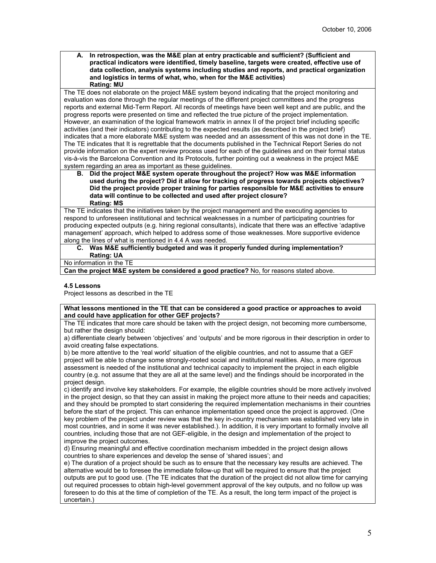**A. In retrospection, was the M&E plan at entry practicable and sufficient? (Sufficient and practical indicators were identified, timely baseline, targets were created, effective use of data collection, analysis systems including studies and reports, and practical organization and logistics in terms of what, who, when for the M&E activities) Rating: MU**

The TE does not elaborate on the project M&E system beyond indicating that the project monitoring and evaluation was done through the regular meetings of the different project committees and the progress reports and external Mid-Term Report. All records of meetings have been well kept and are public, and the progress reports were presented on time and reflected the true picture of the project implementation. However, an examination of the logical framework matrix in annex II of the project brief including specific activities (and their indicators) contributing to the expected results (as described in the project brief) indicates that a more elaborate M&E system was needed and an assessment of this was not done in the TE. The TE indicates that It is regrettable that the documents published in the Technical Report Series do not provide information on the expert review process used for each of the guidelines and on their formal status vis-à-vis the Barcelona Convention and its Protocols, further pointing out a weakness in the project M&E system regarding an area as important as these guidelines.

**B. Did the project M&E system operate throughout the project? How was M&E information used during the project? Did it allow for tracking of progress towards projects objectives? Did the project provide proper training for parties responsible for M&E activities to ensure data will continue to be collected and used after project closure? Rating: MS**

The TE indicates that the initiatives taken by the project management and the executing agencies to respond to unforeseen institutional and technical weaknesses in a number of participating countries for producing expected outputs (e.g. hiring regional consultants), indicate that there was an effective 'adaptive management' approach, which helped to address some of those weaknesses. More supportive evidence along the lines of what is mentioned in 4.4 A was needed.

# **C. Was M&E sufficiently budgeted and was it properly funded during implementation? Rating: UA**

No information in the TE

**Can the project M&E system be considered a good practice?** No, for reasons stated above.

# **4.5 Lessons**

Project lessons as described in the TE

**What lessons mentioned in the TE that can be considered a good practice or approaches to avoid and could have application for other GEF projects?**

The TE indicates that more care should be taken with the project design, not becoming more cumbersome, but rather the design should:

a) differentiate clearly between 'objectives' and 'outputs' and be more rigorous in their description in order to avoid creating false expectations.

b) be more attentive to the 'real world' situation of the eligible countries, and not to assume that a GEF project will be able to change some strongly-rooted social and institutional realities. Also, a more rigorous assessment is needed of the institutional and technical capacity to implement the project in each eligible country (e.g. not assume that they are all at the same level) and the findings should be incorporated in the project design.

c) identify and involve key stakeholders. For example, the eligible countries should be more actively involved in the project design, so that they can assist in making the project more attune to their needs and capacities; and they should be prompted to start considering the required implementation mechanisms in their countries before the start of the project. This can enhance implementation speed once the project is approved. (One key problem of the project under review was that the key in-country mechanism was established very late in most countries, and in some it was never established.). In addition, it is very important to formally involve all countries, including those that are not GEF-eligible, in the design and implementation of the project to improve the project outcomes.

d) Ensuring meaningful and effective coordination mechanism imbedded in the project design allows countries to share experiences and develop the sense of 'shared issues'; and

e) The duration of a project should be such as to ensure that the necessary key results are achieved. The alternative would be to foresee the immediate follow-up that will be required to ensure that the project outputs are put to good use. (The TE indicates that the duration of the project did not allow time for carrying out required processes to obtain high-level government approval of the key outputs, and no follow up was foreseen to do this at the time of completion of the TE. As a result, the long term impact of the project is uncertain.)